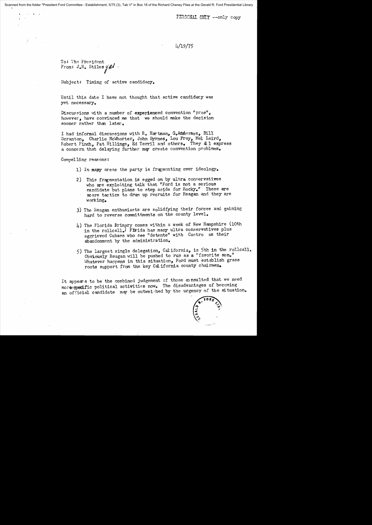PERSONAL ONLY --only copy

## 4/19/75

To: The President From:  $J_eR_e$  Stiles  $g'$   $\ell$ 

Subject: Timing of active candidacy.

Until this date I have not thought that active candidacy was yet necessary.

Discussions with a number of experienced convention "pros", however, have convinced me that we should make the decision sooner rather than later.

I had informal discussions with R. Hartman, GoAnderson, Bill Scranton, Charlie McWhorter, John Byrnes, Lou Frey, Mel Laird, Robert Finch, Pat Hillings, Ed Terril and others. They all express a concern that delaying further may create convention problems.

Compelling reas ons :

- 1) In mapy areas the party is fragmenting over ideology.
- 2) This fragmentation is egged on by ultra conservatives who are exploiting talk that "Ford is not a serious candidate but plans to step aside for Rocky." These are scare tactics to drum up recruits for Reagan and they are working.
- 3) The Reagan enthusiasts are solidfying their forces and gaining hard to reverse committments on the county level.
- 4) The Florida Rrimary comes within a week of New Hampshire (10th in the rollcall.) Firida has many ultra conservatives plus aggrieved Cubans who see "detente" with Castro as their abandonment by the administration.
- 5) The largest single delegation, California, is 5th in the rollcall. Obviously Reagan will be pushed to run as a "favorite son." Whatever happens in this situation, Ford must establish grass roots support from the key Cal ifornia county chairmen.

It appears to be the combined judgement of those consulted that we need more specific political activities now. The disadvantages of becoming an official candidate may be outweighed by the urgency of the situation.

...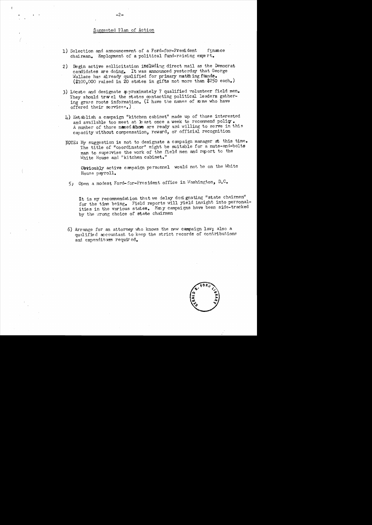## Suggested Plan of Action

1) Selection and announcement of a Ford-for-President finance chairman. Employment of a political fund-raising expert. 2) Begin active sollicitation including direct mail as the Democrat candidates are doing. It was announced yesterday that George Wallace has already qualified for primary matthing funds.  $($100,000 \text{ raised in 20 states in girls not more than $250 each.})$ 3) Locate and designate approximately 7 qualified volunteer field men. They should travel the states contacting political leaders gathering grass roots information. (I have the names of some who have offered their services.) 4) Establish a campaign "kitchen cabinet" made up of those interested and available too meet at least once a week to recommend policy. A number of those named above are ready and willing to serve in this capacity without compensation, reward, or official recognition NOTE: My suggestion is not to designate a campaign manager at this time. The title of "coordinator" might be suitable for a nuts-and-bolts man to supervise the work of the field men and report to the White House and "kitchen cabinet." Obviously active campaign personnel would not be on the White House payroll. 5) Open a modest Ford-for-President office in Washington, D.C. It is my recommendation that we delay designating "state chairmen" for the time being. Field reports will yield insight into personalities in the various states. Many campaigns have been side-tracked by the wrong choice of state chairmen 6) Arrange for an attorney who knows the new campaign law; also a qualified accountant to keep the strict records of contributions and expendituers required.

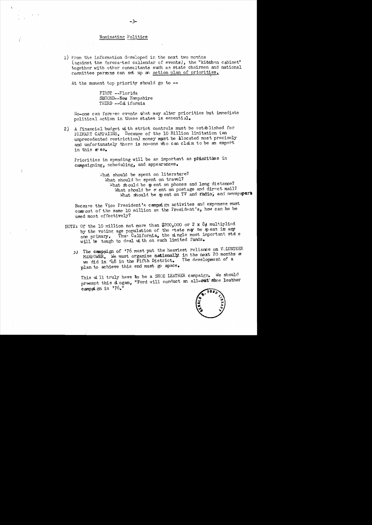## Nominating Politics

1) From the information developed in the next two months (against the forecasted callendar of events), the "kitchen cabinet" together with other consultants such as state chairmen and national committee persons can set up an action plan of priorities.

At the moment top priority should go to --

FIRST --Florida SECOND--New Hampshire THIRD -- Cal ifornia

No-one can foresee events what may alter priorities but immediate political action in these states is essential.

2) A financial budget with strict controls must be established for PRIMARY CAMPAIGNS. Because of the 10 Million limitation (an unprecedented restriction) money must be alocated most precisely and unfortunately there is no-one who can claim to be an expert in this grea.

Priorities in spending will be as important as priorities in campaigning, scheduling, and appearances.

> What should be spent on literature? What should be spent on travel? What should be sp ent on phones and long distance? What should be sent on postage and direct mail? What should be spent on TV and radio, and newspapers

Because the Vice President's campaign activites and expenses must come out of the same 10 million as the President's, how can he be used most effectively?

- NOTE: Of the 10 million not more than \$200,000 or 2 x  $8¢$  multiplied by the voting age population of the state may be spent in any one primary. Thus California, the single most important state will be tough to deal with on such limited funds.
	- 5) The campaign of '76 must put the heaviest reliance on VOLUNTEER MANPOWER. We must organize nationally in the next 20 months as The development of a we did in '48 in the Fifth District. plan to achieve this end must go apace.

This will truly have to be a SHOE LEATHER campaign. We should preempt this a ogan, "Ford will conduct an all-out" shoe leather campaign in '76."